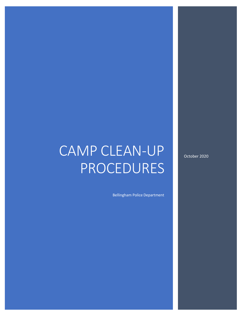# CAMP CLEAN-UP PROCEDURES

Bellingham Police Department

October 2020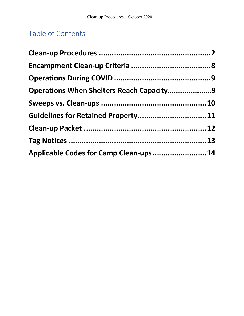## Table of Contents

| Operations When Shelters Reach Capacity9<br>Guidelines for Retained Property 11<br>Applicable Codes for Camp Clean-ups 14 |  |
|---------------------------------------------------------------------------------------------------------------------------|--|
|                                                                                                                           |  |
|                                                                                                                           |  |
|                                                                                                                           |  |
|                                                                                                                           |  |
|                                                                                                                           |  |
|                                                                                                                           |  |
|                                                                                                                           |  |
|                                                                                                                           |  |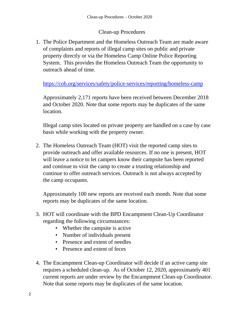## Clean-up Procedures

1. The Police Department and the Homeless Outreach Team are made aware of complaints and reports of illegal camp sites on public and private property directly or via the Homeless Camp Online Police Reporting System. This provides the Homeless Outreach Team the opportunity to outreach ahead of time.

<https://cob.org/services/safety/police-services/reporting/homeless-camp>

Approximately 2,171 reports have been received between December 2018 and October 2020. Note that some reports may be duplicates of the same location.

Illegal camp sites located on private property are handled on a case by case basis while working with the property owner.

2. The Homeless Outreach Team (HOT) visit the reported camp sites to provide outreach and offer available resources. If no one is present, HOT will leave a notice to let campers know their campsite has been reported and continue to visit the camp to create a trusting relationship and continue to offer outreach services. Outreach is not always accepted by the camp occupants.

Approximately 100 new reports are received each month. Note that some reports may be duplicates of the same location.

- 3. HOT will coordinate with the BPD Encampment Clean-Up Coordinator regarding the following circumstances:
	- Whether the campsite is active
	- Number of individuals present
	- Presence and extent of needles
	- Presence and extent of feces
- 4. The Encampment Clean-up Coordinator will decide if an active camp site requires a scheduled clean-up. As of October 12, 2020, approximately 401 current reports are under review by the Encampment Clean-up Coordinator. Note that some reports may be duplicates of the same location.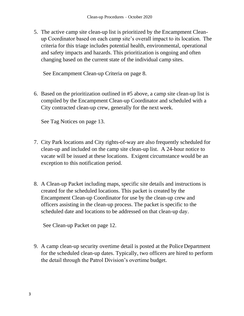5. The active camp site clean-up list is prioritized by the Encampment Cleanup Coordinator based on each camp site's overall impact to its location. The criteria for this triage includes potential health, environmental, operational and safety impacts and hazards. This prioritization is ongoing and often changing based on the current state of the individual camp sites.

See Encampment Clean-up Criteria on page 8.

6. Based on the prioritization outlined in #5 above, a camp site clean-up list is compiled by the Encampment Clean-up Coordinator and scheduled with a City contracted clean-up crew, generally for the next week.

See Tag Notices on page 13.

- 7. City Park locations and City rights-of-way are also frequently scheduled for clean-up and included on the camp site clean-up list. A 24-hour notice to vacate will be issued at these locations. Exigent circumstance would be an exception to this notification period.
- 8. A Clean-up Packet including maps, specific site details and instructions is created for the scheduled locations. This packet is created by the Encampment Clean-up Coordinator for use by the clean-up crew and officers assisting in the clean-up process. The packet is specific to the scheduled date and locations to be addressed on that clean-up day.

See Clean-up Packet on page 12.

9. A camp clean-up security overtime detail is posted at the PoliceDepartment for the scheduled clean-up dates. Typically, two officers are hired to perform the detail through the Patrol Division's overtime budget.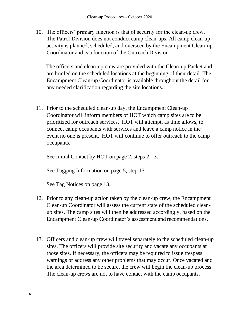10. The officers' primary function is that of security for the clean-up crew. The Patrol Division does not conduct camp clean-ups. All camp clean-up activity is planned, scheduled, and overseen by the Encampment Clean-up Coordinator and is a function of the Outreach Division.

The officers and clean-up crew are provided with the Clean-up Packet and are briefed on the scheduled locations at the beginning of their detail. The Encampment Clean-up Coordinator is available throughout the detail for any needed clarification regarding the site locations.

11. Prior to the scheduled clean-up day, the Encampment Clean-up Coordinator will inform members of HOT which camp sites are to be prioritized for outreach services. HOT will attempt, as time allows, to connect camp occupants with services and leave a camp notice in the event no one is present. HOT will continue to offer outreach to the camp occupants.

See Initial Contact by HOT on page 2, steps 2 - 3.

See Tagging Information on page 5, step 15.

See Tag Notices on page 13.

- 12. Prior to any clean-up action taken by the clean-up crew, the Encampment Clean-up Coordinator will assess the current state of the scheduled cleanup sites. The camp sites will then be addressed accordingly, based on the Encampment Clean-up Coordinator's assessment and recommendations.
- 13. Officers and clean-up crew will travel separately to the scheduled clean-up sites. The officers will provide site security and vacate any occupants at those sites. If necessary, the officers may be required to issue trespass warnings or address any other problems that may occur. Once vacated and the area determined to be secure, the crew will begin the clean-up process. The clean-up crews are not to have contact with the camp occupants.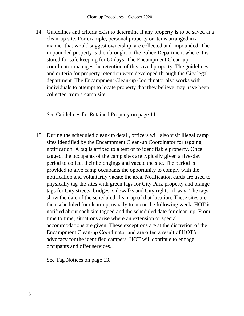14. Guidelines and criteria exist to determine if any property is to be saved at a clean-up site. For example, personal property or items arranged in a manner that would suggest ownership, are collected and impounded. The impounded property is then brought to the Police Department where it is stored for safe keeping for 60 days. The Encampment Clean-up coordinator manages the retention of this saved property. The guidelines and criteria for property retention were developed through the City legal department. The Encampment Clean-up Coordinator also works with individuals to attempt to locate property that they believe may have been collected from a camp site.

See Guidelines for Retained Property on page 11.

15. During the scheduled clean-up detail, officers will also visit illegal camp sites identified by the Encampment Clean-up Coordinator for tagging notification. A tag is affixed to a tent or to identifiable property. Once tagged, the occupants of the camp sites are typically given a five-day period to collect their belongings and vacate the site. The period is provided to give camp occupants the opportunity to comply with the notification and voluntarily vacate the area. Notification cards are used to physically tag the sites with green tags for City Park property and orange tags for City streets, bridges, sidewalks and City rights-of-way. The tags show the date of the scheduled clean-up of that location. These sites are then scheduled for clean-up, usually to occur the following week. HOT is notified about each site tagged and the scheduled date for clean-up. From time to time, situations arise where an extension or special accommodations are given. These exceptions are at the discretion of the Encampment Clean-up Coordinator and are often a result of HOT's advocacy for the identified campers. HOT will continue to engage occupants and offer services.

See Tag Notices on page 13.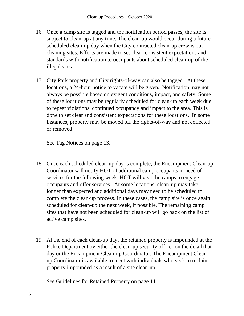- 16. Once a camp site is tagged and the notification period passes, the site is subject to clean-up at any time. The clean-up would occur during a future scheduled clean-up day when the City contracted clean-up crew is out cleaning sites. Efforts are made to set clear, consistent expectations and standards with notification to occupants about scheduled clean-up of the illegal sites.
- 17. City Park property and City rights-of-way can also be tagged. At these locations, a 24-hour notice to vacate will be given. Notification may not always be possible based on exigent conditions, impact, and safety. Some of these locations may be regularly scheduled for clean-up each week due to repeat violations, continued occupancy and impact to the area. This is done to set clear and consistent expectations for these locations. In some instances, property may be moved off the rights-of-way and not collected or removed.

See Tag Notices on page 13.

- 18. Once each scheduled clean-up day is complete, the Encampment Clean-up Coordinator will notify HOT of additional camp occupants in need of services for the following week. HOT will visit the camps to engage occupants and offer services. At some locations, clean-up may take longer than expected and additional days may need to be scheduled to complete the clean-up process. In these cases, the camp site is once again scheduled for clean-up the next week, if possible. The remaining camp sites that have not been scheduled for clean-up will go back on the list of active camp sites.
- 19. At the end of each clean-up day, the retained property is impounded at the Police Department by either the clean-up security officer on the detail that day or the Encampment Clean-up Coordinator. The Encampment Cleanup Coordinator is available to meet with individuals who seek to reclaim property impounded as a result of a site clean-up.

See Guidelines for Retained Property on page 11.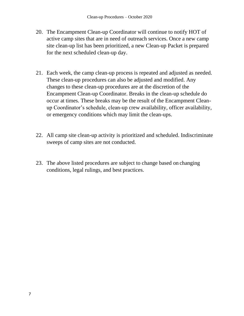- 20. The Encampment Clean-up Coordinator will continue to notify HOT of active camp sites that are in need of outreach services. Once a new camp site clean-up list has been prioritized, a new Clean-up Packet is prepared for the next scheduled clean-up day.
- 21. Each week, the camp clean-up process is repeated and adjusted as needed. These clean-up procedures can also be adjusted and modified. Any changes to these clean-up procedures are at the discretion of the Encampment Clean-up Coordinator. Breaks in the clean-up schedule do occur at times. These breaks may be the result of the Encampment Cleanup Coordinator's schedule, clean-up crew availability, officer availability, or emergency conditions which may limit the clean-ups.
- 22. All camp site clean-up activity is prioritized and scheduled. Indiscriminate sweeps of camp sites are not conducted.
- 23. The above listed procedures are subject to change based on changing conditions, legal rulings, and best practices.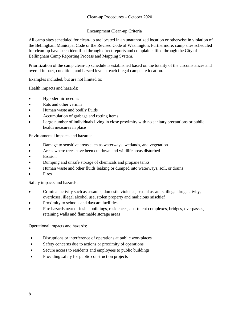#### Encampment Clean-up Criteria

All camp sites scheduled for clean-up are located in an unauthorized location or otherwise in violation of the Bellingham Municipal Code or the Revised Code of Washington. Furthermore, camp sites scheduled for clean-up have been identified through direct reports and complaints filed through the City of Bellingham Camp Reporting Process and Mapping System.

Prioritization of the camp clean-up schedule is established based on the totality of the circumstances and overall impact, condition, and hazard level at each illegal camp site location.

Examples included, but are not limited to:

Health impacts and hazards:

- Hypodermic needles
- Rats and other vermin
- Human waste and bodily fluids
- Accumulation of garbage and rotting items
- Large number of individuals living in close proximity with no sanitary precautions or public health measures in place

Environmental impacts and hazards:

- Damage to sensitive areas such as waterways, wetlands, and vegetation
- Areas where trees have been cut down and wildlife areas disturbed
- Erosion
- Dumping and unsafe storage of chemicals and propane tanks
- Human waste and other fluids leaking or dumped into waterways, soil, or drains
- **Fires**

Safety impacts and hazards:

- Criminal activity such as assaults, domestic violence, sexual assaults, illegal drug activity, overdoses, illegal alcohol use, stolen property and malicious mischief
- Proximity to schools and daycare facilities
- Fire hazards near or inside buildings, residences, apartment complexes, bridges, overpasses, retaining walls and flammable storage areas

Operational impacts and hazards:

- Disruptions or interference of operations at public workplaces
- Safety concerns due to actions or proximity of operations
- Secure access to residents and employees to public buildings
- Providing safety for public construction projects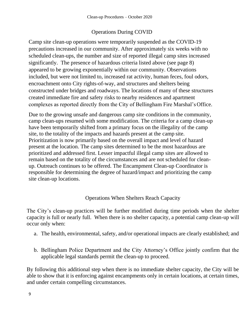## Operations During COVID

Camp site clean-up operations were temporarily suspended as the COVID-19 precautions increased in our community. After approximately six weeks with no scheduled clean-ups, the number and size of reported illegal camp sites increased significantly. The presence of hazardous criteria listed above (see page 8) appeared to be growing exponentially within our community. Observations included, but were not limited to, increased rat activity, human feces, foul odors, encroachment onto City rights-of-way, and structures and shelters being constructed under bridges and roadways. The locations of many of these structures created immediate fire and safety risks to nearby residences and apartment complexes as reported directly from the City of Bellingham Fire Marshal's Office.

Due to the growing unsafe and dangerous camp site conditions in the community, camp clean-ups resumed with some modification. The criteria for a camp clean-up have been temporarily shifted from a primary focus on the illegality of the camp site, to the totality of the impacts and hazards present at the camp site. Prioritization is now primarily based on the overall impact and level of hazard present at the location. The camp sites determined to be the most hazardous are prioritized and addressed first. Lesser impactful illegal camp sites are allowed to remain based on the totality of the circumstances and are not scheduled for cleanup. Outreach continues to be offered. The Encampment Clean-up Coordinator is responsible for determining the degree of hazard/impact and prioritizing the camp site clean-up locations.

## Operations When Shelters Reach Capacity

The City's clean-up practices will be further modified during time periods when the shelter capacity is full or nearly full. When there is no shelter capacity, a potential camp clean-up will occur only when:

- a. The health, environmental, safety, and/or operational impacts are clearly established; and
- b. Bellingham Police Department and the City Attorney's Office jointly confirm that the applicable legal standards permit the clean-up to proceed.

By following this additional step when there is no immediate shelter capacity, the City will be able to show that it is enforcing against encampments only in certain locations, at certain times, and under certain compelling circumstances.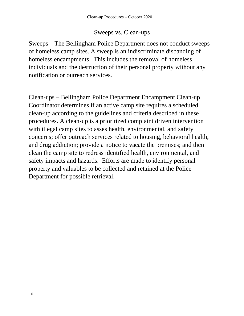## Sweeps vs. Clean-ups

<span id="page-10-0"></span>Sweeps – The Bellingham Police Department does not conduct sweeps of homeless camp sites. A sweep is an indiscriminate disbanding of homeless encampments. This includes the removal of homeless individuals and the destruction of their personal property without any notification or outreach services.

Clean-ups – Bellingham Police Department Encampment Clean-up Coordinator determines if an active camp site requires a scheduled clean-up according to the guidelines and criteria described in these procedures. A clean-up is a prioritized complaint driven intervention with illegal camp sites to asses health, environmental, and safety concerns; offer outreach services related to housing, behavioral health, and drug addiction; provide a notice to vacate the premises; and then clean the camp site to redress identified health, environmental, and safety impacts and hazards. Efforts are made to identify personal property and valuables to be collected and retained at the Police Department for possible retrieval.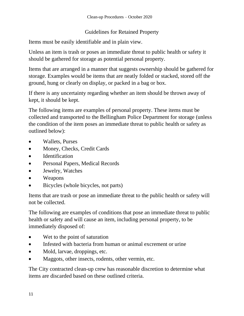## Guidelines for Retained Property

Items must be easily identifiable and in plain view.

Unless an item is trash or poses an immediate threat to public health or safety it should be gathered for storage as potential personal property.

Items that are arranged in a manner that suggests ownership should be gathered for storage. Examples would be items that are neatly folded or stacked, stored off the ground, hung or clearly on display, or packed in a bag or box.

If there is any uncertainty regarding whether an item should be thrown away of kept, it should be kept.

The following items are examples of personal property. These items must be collected and transported to the Bellingham Police Department for storage (unless the condition of the item poses an immediate threat to public health or safety as outlined below):

- Wallets, Purses
- Money, Checks, Credit Cards
- Identification
- Personal Papers, Medical Records
- Jewelry, Watches
- Weapons
- Bicycles (whole bicycles, not parts)

Items that are trash or pose an immediate threat to the public health or safety will not be collected.

The following are examples of conditions that pose an immediate threat to public health or safety and will cause an item, including personal property, to be immediately disposed of:

- Wet to the point of saturation
- Infested with bacteria from human or animal excrement or urine
- Mold, larvae, droppings, etc.
- Maggots, other insects, rodents, other vermin, etc.

The City contracted clean-up crew has reasonable discretion to determine what items are discarded based on these outlined criteria.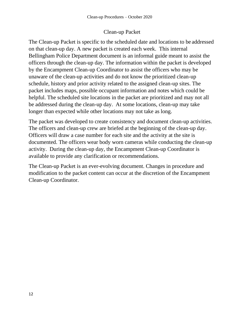## Clean-up Packet

The Clean-up Packet is specific to the scheduled date and locations to be addressed on that clean-up day. A new packet is created each week. This internal Bellingham Police Department document is an informal guide meant to assist the officers through the clean-up day. The information within the packet is developed by the Encampment Clean-up Coordinator to assist the officers who may be unaware of the clean-up activities and do not know the prioritized clean-up schedule, history and prior activity related to the assigned clean-up sites. The packet includes maps, possible occupant information and notes which could be helpful. The scheduled site locations in the packet are prioritized and may not all be addressed during the clean-up day. At some locations, clean-up may take longer than expected while other locations may not take as long.

The packet was developed to create consistency and document clean-up activities. The officers and clean-up crew are briefed at the beginning of the clean-up day. Officers will draw a case number for each site and the activity at the site is documented. The officers wear body worn cameras while conducting the clean-up activity. During the clean-up day, the Encampment Clean-up Coordinator is available to provide any clarification or recommendations.

The Clean-up Packet is an ever-evolving document. Changes in procedure and modification to the packet content can occur at the discretion of the Encampment Clean-up Coordinator.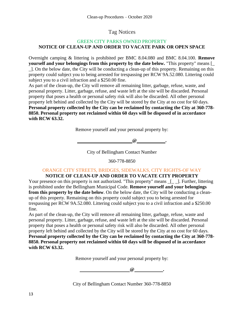## Tag Notices

#### GREEN CITY PARKS OWNED PROPERTY **NOTICE OF CLEAN-UP AND ORDER TO VACATE PARK OR OPEN SPACE**

Overnight camping & littering is prohibited per BMC 8.04.080 and BMC 8.04.100. **Remove yourself and your belongings from this property by the date below.** "This property" means [\_ \_]. On the below date, the City will be conducting a clean-up of this property. Remaining on this property could subject you to being arrested for trespassing per RCW 9A.52.080. Littering could subject you to a civil infraction and a \$250.00 fine.

As part of the clean-up, the City will remove all remaining litter, garbage, refuse, waste, and personal property. Litter, garbage, refuse, and waste left at the site will be discarded. Personal property that poses a health or personal safety risk will also be discarded. All other personal property left behind and collected by the City will be stored by the City at no cost for 60 days. **Personal property collected by the City can be reclaimed by contacting the City at 360-778- 8850. Personal property not reclaimed within 60 days will be disposed of in accordance with RCW 63.32.**

Remove yourself and your personal property by:

**@ .**

City of Bellingham Contact Number

360-778-8850

### ORANGE CITY STREETS, BRIDGES, SIDEWALKS, CITY RIGHTS-OF WAY

#### **NOTICE OF CLEAN-UP AND ORDER TO VACATE CITY PROPERTY**

Your presence on this property is not authorized. "This property" means  $\boxed{\phantom{a}}$ . Further, littering is prohibited under the Bellingham Municipal Code. **Remove yourself and your belongings from this property by the date below**. On the below date, the City will be conducting a cleanup of this property. Remaining on this property could subject you to being arrested for trespassing per RCW 9A.52.080. Littering could subject you to a civil infraction and a \$250.00 fine.

As part of the clean-up, the City will remove all remaining litter, garbage, refuse, waste and personal property. Litter, garbage, refuse, and waste left at the site will be discarded. Personal property that poses a health or personal safety risk will also be discarded. All other personal property left behind and collected by the City will be stored by the City at no cost for 60 days. **Personal property collected by the City can be reclaimed by contacting the City at 360-778- 8850. Personal property not reclaimed within 60 days will be disposed of in accordance with RCW 63.32.**

Remove yourself and your personal property by:

**@ .**

City of Bellingham Contact Number 360-778-8850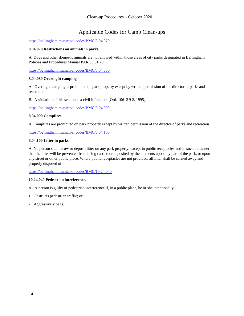## Applicable Codes for Camp Clean-ups

#### <https://bellingham.municipal.codes/BMC/8.04.070>

#### **8.04.070 Restrictions on animals in parks**

A. Dogs and other domestic animals are not allowed within those areas of city parks designated in Bellingham Policies and Procedures Manual PAR 03.01.20.

[https://bellingham.municipal.codes/BMC/8.04.080](https://gcc02.safelinks.protection.outlook.com/?url=https%3A%2F%2Fbellingham.municipal.codes%2FBMC%2F8.04.080&data=02%7C01%7Cjleighton%40cob.org%7Cc3167f1d92644fca691e08d858d96951%7Cd438603ec0cb4a1286e40001e1d225b9%7C0%7C0%7C637357038082894636&sdata=mhLsEFS0w88HUmqsr80XIZrNlQDGbT2EBzjXV8tmRtA%3D&reserved=0)

#### **8.04.080 Overnight camping**

A. Overnight camping is prohibited on park property except by written permission of the director of parks and recreation.

B. A violation of this section is a civil infraction. [Ord. 10612 § 2, 1995][.](https://gcc02.safelinks.protection.outlook.com/?url=https%3A%2F%2Fbellingham.municipal.codes%2FBMC%2F8.04.090&data=02%7C01%7Cjleighton%40cob.org%7Cc3167f1d92644fca691e08d858d96951%7Cd438603ec0cb4a1286e40001e1d225b9%7C0%7C0%7C637357038082904595&sdata=SzFdjy8sb9M7vPTYsSeIbfrSn6m3doymjciOq5NRuTU%3D&reserved=0)

[https://bellingham.municipal.codes/BMC/8.04.090](https://gcc02.safelinks.protection.outlook.com/?url=https%3A%2F%2Fbellingham.municipal.codes%2FBMC%2F8.04.090&data=02%7C01%7Cjleighton%40cob.org%7Cc3167f1d92644fca691e08d858d96951%7Cd438603ec0cb4a1286e40001e1d225b9%7C0%7C0%7C637357038082904595&sdata=SzFdjy8sb9M7vPTYsSeIbfrSn6m3doymjciOq5NRuTU%3D&reserved=0)

#### **8.04.090 Campfires**

A. Campfires are prohibited on park property except by written permission of the director of parks and recreation[.](https://gcc02.safelinks.protection.outlook.com/?url=https%3A%2F%2Fbellingham.municipal.codes%2FBMC%2F8.04.100&data=02%7C01%7Cjleighton%40cob.org%7Cc3167f1d92644fca691e08d858d96951%7Cd438603ec0cb4a1286e40001e1d225b9%7C0%7C0%7C637357038082904595&sdata=Wd8DpH5OclAHdJQ8O0jCjvEzTCTh%2FsS5lxCB3WUjYTc%3D&reserved=0)

[https://bellingham.municipal.codes/BMC/8.04.100](https://gcc02.safelinks.protection.outlook.com/?url=https%3A%2F%2Fbellingham.municipal.codes%2FBMC%2F8.04.100&data=02%7C01%7Cjleighton%40cob.org%7Cc3167f1d92644fca691e08d858d96951%7Cd438603ec0cb4a1286e40001e1d225b9%7C0%7C0%7C637357038082904595&sdata=Wd8DpH5OclAHdJQ8O0jCjvEzTCTh%2FsS5lxCB3WUjYTc%3D&reserved=0)

#### **8.04.100 Litter in parks**

A. No person shall throw or deposit litter on any park property, except in public receptacles and in such a manner that the litter will be prevented from being carried or deposited by the elements upon any part of the park, or upon any street or other public place. Where public receptacles are not provided, all litter shall be carried away and properly disposed of.

[https://bellingham.municipal.codes/BMC/10.24.040](https://gcc02.safelinks.protection.outlook.com/?url=https%3A%2F%2Fbellingham.municipal.codes%2FBMC%2F10.24.040&data=02%7C01%7Cjleighton%40cob.org%7Cc3167f1d92644fca691e08d858d96951%7Cd438603ec0cb4a1286e40001e1d225b9%7C0%7C0%7C637357038082914562&sdata=uoe2Ucam7U8Xsjo0qIAdr3WgZj2faGuftHujNmPW%2Fp8%3D&reserved=0)

#### **10.24.040 Pedestrian interference.**

- A. A person is guilty of pedestrian interference if, in a public place, he or she intentionally:
- 1. Obstructs pedestrian traffic; or
- 2. Aggressively begs.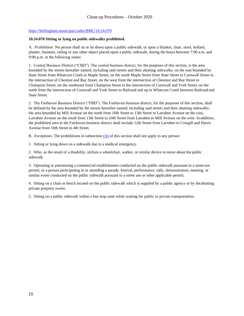#### [https://bellingham.municipal.codes/BMC/10.24.070](https://gcc02.safelinks.protection.outlook.com/?url=https%3A%2F%2Fbellingham.municipal.codes%2FBMC%2F10.24.070&data=02%7C01%7Cjleighton%40cob.org%7Cc3167f1d92644fca691e08d858d96951%7Cd438603ec0cb4a1286e40001e1d225b9%7C0%7C0%7C637357038082914562&sdata=5g5J3IgudyYgYzPQpAhnAr0tUHwnrJH%2FgFY2qZrFvEI%3D&reserved=0)

#### **10.24.070 Sitting or lying on public sidewalks prohibited.**

A. *Prohibition.* No person shall sit or lie down upon a public sidewalk, or upon a blanket, chair, stool, bollard, planter, fountain, railing or any other object placed upon a public sidewalk, during the hours between 7:00 a.m. and 9:00 p.m. in the following zones:

1. Central Business District ("CBD"). The central business district, for the purposes of this section, is the area bounded by the streets hereafter named, including said streets and their abutting sidewalks: on the east bounded by State Street from Whatcom Creek to Maple Street, on the south Maple Street from State Street to Cornwall Street to the intersection of Chestnut and Bay Street, on the west from the intersection of Chestnut and Bay Street to Champion Street, on the southwest from Champion Street to the intersection of Cornwall and York Street, on the north from the intersection of Cornwall and York Street to Railroad and up to Whatcom Creek between Railroad and State Street.

2. The Fairhaven Business District ("FBD"). The Fairhaven business district, for the purposes of this section, shall be defined by the area bounded by the streets hereafter named, including said streets and their abutting sidewalks: the area bounded by Mill Avenue on the north from 10th Street to 13th Street to Larrabee Avenue on the east, Larrabee Avenue on the south from 13th Street to 10th Street from Larrabee to Mill Avenue on the west. In addition, the prohibited area in the Fairhaven business district shall include 12th Street from Larrabee to Cowgill and Harris Avenue from 10th Street to 4th Street.

B. *Exceptions*. The prohibitions in subsection  $(A)$  of this section shall not apply to any person:

1. Sitting or lying down on a sidewalk due to a medical emergency.

2. Who, as the result of a disability, utilizes a wheelchair, walker, or similar device to move about the public sidewalk.

3. Operating or patronizing a commercial establishment conducted on the public sidewalk pursuant to a street use permit; or a person participating in or attending a parade, festival, performance, rally, demonstration, meeting, or similar event conducted on the public sidewalk pursuant to a street use or other applicable permit;

4. Sitting on a chair or bench located on the public sidewalk which is supplied by a public agency or by theabutting private property owner.

5. Sitting on a public sidewalk within a bus stop zone while waiting for public or private transportation.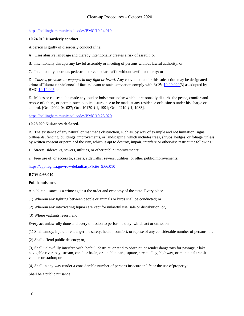#### [https://bellingham.municipal.codes/BMC/10.24.010](https://gcc02.safelinks.protection.outlook.com/?url=https%3A%2F%2Fbellingham.municipal.codes%2FBMC%2F10.24.010&data=02%7C01%7Cjleighton%40cob.org%7Cc3167f1d92644fca691e08d858d96951%7Cd438603ec0cb4a1286e40001e1d225b9%7C0%7C0%7C637357038082924520&sdata=Ak1Maq5SkLi%2Bgqr7WCe0JxpS%2BDQMFzWdsrzFw%2BUZLo8%3D&reserved=0)

#### **10.24.010 Disorderly conduct.**

A person is guilty of disorderly conduct if he:

A. Uses abusive language and thereby intentionally creates a risk of assault; or

B. Intentionally disrupts any lawful assembly or meeting of persons without lawful authority; or

C. Intentionally obstructs pedestrian or vehicular traffic without lawful authority; or

D. *Causes, provokes or engages in any fight or brawl.* Any conviction under this subsection may be designated a crime of "domestic violence" if facts relevant to such conviction comply with RCW [10.99.020\(](https://gcc02.safelinks.protection.outlook.com/?url=https%3A%2F%2Fbellingham.municipal.codes%2FWA%2FRCW%2F10.99.020&data=02%7C01%7Cjleighton%40cob.org%7Cc3167f1d92644fca691e08d858d96951%7Cd438603ec0cb4a1286e40001e1d225b9%7C0%7C0%7C637357038082924520&sdata=d7CALIg3RzW0b7KohDR%2FaOVj7IxIY4Ljqbwxwb3so94%3D&reserved=0)3) as adopted by BMC [10.14.005;](https://gcc02.safelinks.protection.outlook.com/?url=https%3A%2F%2Fbellingham.municipal.codes%2FBMC%2F10.14.005&data=02%7C01%7Cjleighton%40cob.org%7Cc3167f1d92644fca691e08d858d96951%7Cd438603ec0cb4a1286e40001e1d225b9%7C0%7C0%7C637357038082924520&sdata=%2BbhMdeuO8ilXa7lpX2Ylqi72ex8MAD3C9JsWVjbL4%2Bo%3D&reserved=0) or

E. Makes or causes to be made any loud or boisterous noise which unreasonably disturbs the peace, comfort and repose of others, or permits such public disturbance to be made at any residence or business under his charge or control. [Ord. 2004-04-027; Ord. 10179 § 1, 1991; Ord. 9219 § 1, 1983].

[https://bellingham.municipal.codes/BMC/10.28.020](https://gcc02.safelinks.protection.outlook.com/?url=https%3A%2F%2Fbellingham.municipal.codes%2FBMC%2F10.28.020&data=02%7C01%7Cjleighton%40cob.org%7Cc3167f1d92644fca691e08d858d96951%7Cd438603ec0cb4a1286e40001e1d225b9%7C0%7C0%7C637357038082934473&sdata=ZmzTh7GsgOl6R23pamd%2BbSQ%2FFsPD8GjwBWFTyn%2FQdrY%3D&reserved=0)

#### **10.28.020 Nuisances declared.**

B. The existence of any natural or manmade obstruction, such as, by way of example and not limitation, signs, billboards, fencing, buildings, improvements, or landscaping, which includes trees, shrubs, hedges, or foliage, unless by written consent or permit of the city, which is apt to destroy, impair, interfere or otherwise restrict the following:

1. Streets, sidewalks, sewers, utilities, or other public improvements;

2. Free use of, or access to, streets, sidewalks, sewers, utilities, or other publicimprovements[;](https://gcc02.safelinks.protection.outlook.com/?url=https%3A%2F%2Fapp.leg.wa.gov%2Frcw%2Fdefault.aspx%3Fcite%3D9.66.010&data=02%7C01%7Cjleighton%40cob.org%7Cc3167f1d92644fca691e08d858d96951%7Cd438603ec0cb4a1286e40001e1d225b9%7C0%7C0%7C637357038082934473&sdata=NVblB03PBV3FRzU611PLa3hCxlm7bSC8dXxCeNhX%2F%2BU%3D&reserved=0)

[https://app.leg.wa.gov/rcw/default.aspx?cite=9.66.010](https://gcc02.safelinks.protection.outlook.com/?url=https%3A%2F%2Fapp.leg.wa.gov%2Frcw%2Fdefault.aspx%3Fcite%3D9.66.010&data=02%7C01%7Cjleighton%40cob.org%7Cc3167f1d92644fca691e08d858d96951%7Cd438603ec0cb4a1286e40001e1d225b9%7C0%7C0%7C637357038082934473&sdata=NVblB03PBV3FRzU611PLa3hCxlm7bSC8dXxCeNhX%2F%2BU%3D&reserved=0)

#### **RCW 9.66.010**

#### **Public nuisance.**

A public nuisance is a crime against the order and economy of the state. Every place

(1) Wherein any fighting between people or animals or birds shall be conducted; or,

- (2) Wherein any intoxicating liquors are kept for unlawful use, sale or distribution; or,
- (3) Where vagrants resort; and

Every act unlawfully done and every omission to perform a duty, which act or omission

(1) Shall annoy, injure or endanger the safety, health, comfort, or repose of any considerable number of persons; or,

(2) Shall offend public decency; or,

(3) Shall unlawfully interfere with, befoul, obstruct, or tend to obstruct, or render dangerous for passage, alake, navigable river, bay, stream, canal or basin, or a public park, square, street, alley, highway, or municipal transit vehicle or station; or,

(4) Shall in any way render a considerable number of persons insecure in life or the use of property;

Shall be a public nuisance.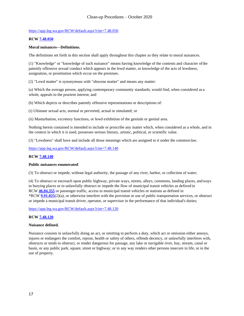#### [https://app.leg.wa.gov/RCW/default.aspx?cite=7.48.050](https://gcc02.safelinks.protection.outlook.com/?url=https%3A%2F%2Fapp.leg.wa.gov%2FRCW%2Fdefault.aspx%3Fcite%3D7.48.050&data=02%7C01%7Cjleighton%40cob.org%7Cc3167f1d92644fca691e08d858d96951%7Cd438603ec0cb4a1286e40001e1d225b9%7C0%7C0%7C637357038082934473&sdata=nAMUUAWfjwVbcoJBSfePO7MTIFePCdESbt2YkW%2BWtYI%3D&reserved=0)

#### **RCW [7.48.050](https://gcc02.safelinks.protection.outlook.com/?url=http%3A%2F%2Fapp.leg.wa.gov%2FRCW%2Fdefault.aspx%3Fcite%3D7.48.050&data=02%7C01%7Cjleighton%40cob.org%7Cc3167f1d92644fca691e08d858d96951%7Cd438603ec0cb4a1286e40001e1d225b9%7C0%7C0%7C637357038082944435&sdata=Eqf0ihUyejsiGPiVgioZQQxPqqO7FPz2gKA4tMRNisU%3D&reserved=0)**

#### **Moral nuisances—Definitions.**

The definitions set forth in this section shall apply throughout this chapter as they relate to moral nuisances.

(1) "Knowledge" or "knowledge of such nuisance" means having knowledge of the contents and character ofthe patently offensive sexual conduct which appears in the lewd matter, or knowledge of the acts of lewdness, assignation, or prostitution which occur on the premises.

(2) "Lewd matter" is synonymous with "obscene matter" and means any matter:

(a) Which the average person, applying contemporary community standards, would find, when considered as a whole, appeals to the prurient interest; and

(b) Which depicts or describes patently offensive representations or descriptions of:

(i) Ultimate sexual acts, normal or perverted, actual or simulated; or

(ii) Masturbation, excretory functions, or lewd exhibition of the genitals or genital area.

Nothing herein contained is intended to include or proscribe any matter which, when considered as a whole, and in the context in which it is used, possesses serious literary, artistic, political, or scientific value.

(3) "Lewdness" shall have and include all those meanings which are assigned to it under the common la[w.](https://gcc02.safelinks.protection.outlook.com/?url=https%3A%2F%2Fapp.leg.wa.gov%2FRCW%2Fdefault.aspx%3Fcite%3D7.48.140&data=02%7C01%7Cjleighton%40cob.org%7Cc3167f1d92644fca691e08d858d96951%7Cd438603ec0cb4a1286e40001e1d225b9%7C0%7C0%7C637357038082944435&sdata=6RidS13n0Kk3jMqlO8xjbNtrUVakuWLU6bWy6SfPBeo%3D&reserved=0)

[https://app.leg.wa.gov/RCW/default.aspx?cite=7.48.140](https://gcc02.safelinks.protection.outlook.com/?url=https%3A%2F%2Fapp.leg.wa.gov%2FRCW%2Fdefault.aspx%3Fcite%3D7.48.140&data=02%7C01%7Cjleighton%40cob.org%7Cc3167f1d92644fca691e08d858d96951%7Cd438603ec0cb4a1286e40001e1d225b9%7C0%7C0%7C637357038082944435&sdata=6RidS13n0Kk3jMqlO8xjbNtrUVakuWLU6bWy6SfPBeo%3D&reserved=0)

#### **RCW [7.48.140](https://gcc02.safelinks.protection.outlook.com/?url=http%3A%2F%2Fapp.leg.wa.gov%2FRCW%2Fdefault.aspx%3Fcite%3D7.48.140&data=02%7C01%7Cjleighton%40cob.org%7Cc3167f1d92644fca691e08d858d96951%7Cd438603ec0cb4a1286e40001e1d225b9%7C0%7C0%7C637357038082954390&sdata=rRROAHOALeXKSZ65I4vuSwwe%2BPlGhO3wtIrXWutkKA0%3D&reserved=0)**

#### **Public nuisances enumerated**

(3) To obstruct or impede, without legal authority, the passage of any river, harbor, or collection of water;

(4) To obstruct or encroach upon public highway, private ways, streets, alleys, commons, landing places, and ways to burying places or to unlawfully obstruct or impede the flow of municipal transit vehicles as defined in RCW **[46.04.355](https://gcc02.safelinks.protection.outlook.com/?url=http%3A%2F%2Fapp.leg.wa.gov%2FRCW%2Fdefault.aspx%3Fcite%3D46.04.355&data=02%7C01%7Cjleighton%40cob.org%7Cc3167f1d92644fca691e08d858d96951%7Cd438603ec0cb4a1286e40001e1d225b9%7C0%7C0%7C637357038082954390&sdata=sEuJpKnnnM1DVTBFst8fSmkXIshcRdv7G%2Fd6%2FFJX4TA%3D&reserved=0)** or passenger traffic, access to municipal transit vehicles or stations as defined in \*RCW **[9.91.025](https://gcc02.safelinks.protection.outlook.com/?url=http%3A%2F%2Fapp.leg.wa.gov%2FRCW%2Fdefault.aspx%3Fcite%3D9.91.025&data=02%7C01%7Cjleighton%40cob.org%7Cc3167f1d92644fca691e08d858d96951%7Cd438603ec0cb4a1286e40001e1d225b9%7C0%7C0%7C637357038082954390&sdata=f1RXESh80hMCcVnd2WkMJ7HtpQLPwqSeD4UyRJ%2BFPBs%3D&reserved=0)**(2)(a), or otherwise interfere with the provision or use of public transportation services, or obstruct or impede a municipal transit driver, operator, or supervisor in the performance of that individual's duties;

[https://app.leg.wa.gov/RCW/default.aspx?cite=7.48.120](https://gcc02.safelinks.protection.outlook.com/?url=https%3A%2F%2Fapp.leg.wa.gov%2FRCW%2Fdefault.aspx%3Fcite%3D7.48.120&data=02%7C01%7Cjleighton%40cob.org%7Cc3167f1d92644fca691e08d858d96951%7Cd438603ec0cb4a1286e40001e1d225b9%7C0%7C0%7C637357038082964345&sdata=egOJmPrPqkhFNoj6uEdSaPZfgPyM7WMVq7pF4EXWhXQ%3D&reserved=0)

#### **RCW [7.48.120](https://gcc02.safelinks.protection.outlook.com/?url=http%3A%2F%2Fapp.leg.wa.gov%2FRCW%2Fdefault.aspx%3Fcite%3D7.48.120&data=02%7C01%7Cjleighton%40cob.org%7Cc3167f1d92644fca691e08d858d96951%7Cd438603ec0cb4a1286e40001e1d225b9%7C0%7C0%7C637357038082964345&sdata=UT0wgwNpyuwl0z3LJDdsJaWn9qZNoYzh22HnwsnrkRk%3D&reserved=0)**

#### **Nuisance defined.**

Nuisance consists in unlawfully doing an act, or omitting to perform a duty, which act or omission either annoys, injures or endangers the comfort, repose, health or safety of others, offends decency, or unlawfully interferes with, obstructs or tends to obstruct, or render dangerous for passage, any lake or navigable river, bay, stream, canal or basin, or any public park, square, street or highway; or in any way renders other persons insecure in life, or in the use of property.